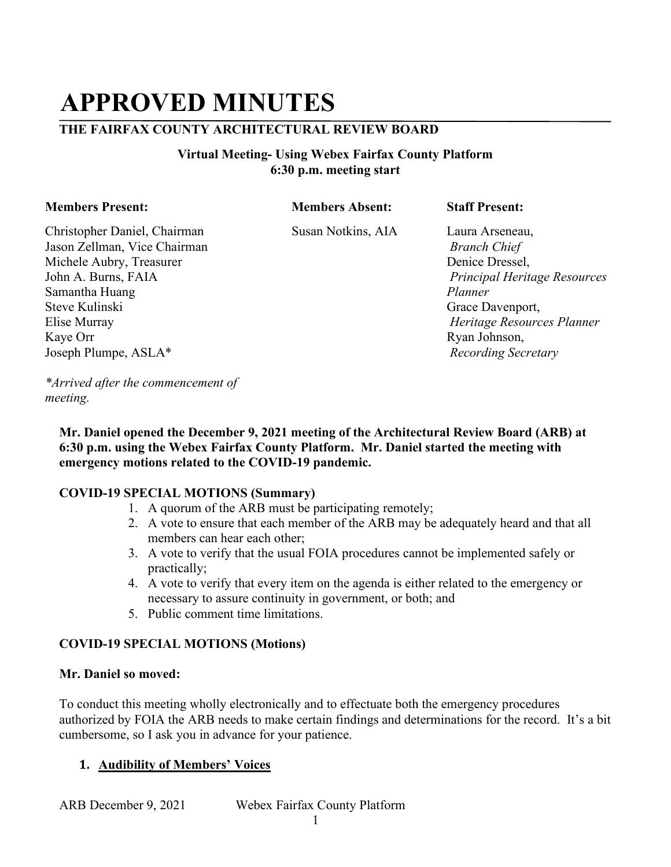## **APPROVED MINUTES**

### **THE FAIRFAX COUNTY ARCHITECTURAL REVIEW BOARD**

#### **Virtual Meeting- Using Webex Fairfax County Platform 6:30 p.m. meeting start**

#### **Members Present: Members Absent: Staff Present:**

Christopher Daniel, Chairman Susan Notkins, AIA Laura Arseneau, Jason Zellman, Vice Chairman *Branch Chief*  Michele Aubry, Treasurer **Denice Dressel**, **Denice Dressel**, **Denice Dressel**, John A. Burns, FAIA *Principal Heritage Resources*  Samantha Huang *Planner*  Steve Kulinski Grace Davenport, Elise Murray *Heritage Resources Planner*  Kaye Orr Ryan Johnson, Joseph Plumpe, ASLA\* *Recording Secretary* 

*\*Arrived after the commencement of meeting.*

**Mr. Daniel opened the December 9, 2021 meeting of the Architectural Review Board (ARB) at 6:30 p.m. using the Webex Fairfax County Platform. Mr. Daniel started the meeting with emergency motions related to the COVID-19 pandemic.** 

#### **COVID-19 SPECIAL MOTIONS (Summary)**

- 1. A quorum of the ARB must be participating remotely;
- 2. A vote to ensure that each member of the ARB may be adequately heard and that all members can hear each other;
- 3. A vote to verify that the usual FOIA procedures cannot be implemented safely or practically;
- 4. A vote to verify that every item on the agenda is either related to the emergency or necessary to assure continuity in government, or both; and
- 5. Public comment time limitations.

#### **COVID-19 SPECIAL MOTIONS (Motions)**

#### **Mr. Daniel so moved:**

To conduct this meeting wholly electronically and to effectuate both the emergency procedures authorized by FOIA the ARB needs to make certain findings and determinations for the record. It's a bit cumbersome, so I ask you in advance for your patience.

#### **1. Audibility of Members' Voices**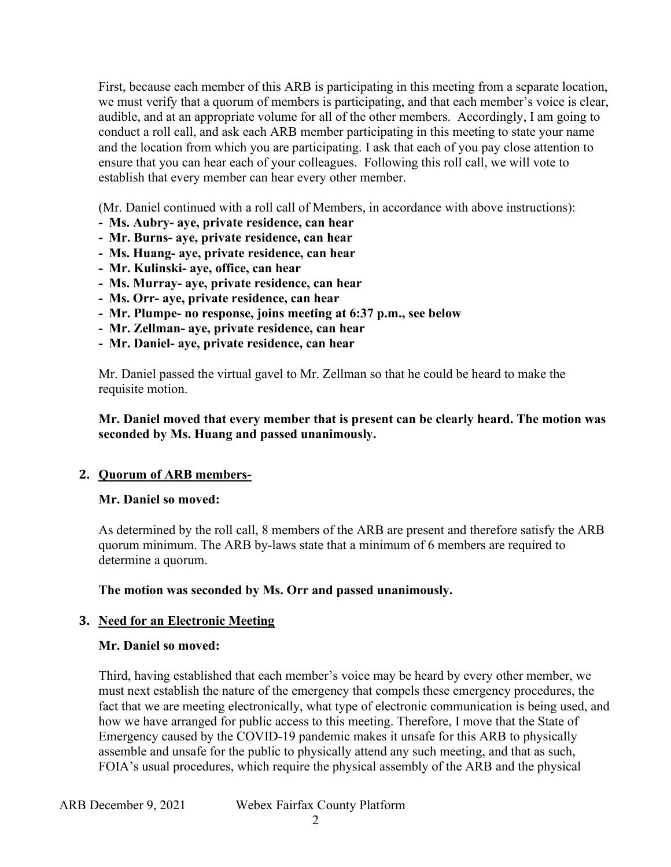First, because each member of this ARB is participating in this meeting from a separate location, we must verify that a quorum of members is participating, and that each member's voice is clear, audible, and at an appropriate volume for all of the other members. Accordingly, I am going to conduct a roll call, and ask each ARB member participating in this meeting to state your name and the location from which you are participating. I ask that each of you pay close attention to ensure that you can hear each of your colleagues. Following this roll call, we will vote to establish that every member can hear every other member.

(Mr. Daniel continued with a roll call of Members, in accordance with above instructions):

- **- Ms. Aubry- aye, private residence, can hear**
- **- Mr. Burns- aye, private residence, can hear**
- **Ms. Huang- aye, private residence, can hear**
- **- Mr. Kulinski- aye, office, can hear**
- **- Ms. Murray- aye, private residence, can hear**
- **- Ms. Orr- aye, private residence, can hear**
- **Mr. Plumpe- no response, joins meeting at 6:37 p.m., see below**
- **- Mr. Zellman- aye, private residence, can hear**
- **- Mr. Daniel- aye, private residence, can hear**

Mr. Daniel passed the virtual gavel to Mr. Zellman so that he could be heard to make the requisite motion.

#### **Mr. Daniel moved that every member that is present can be clearly heard. The motion was seconded by Ms. Huang and passed unanimously.**

#### **2. Quorum of ARB members-**

#### **Mr. Daniel so moved:**

 As determined by the roll call, 8 members of the ARB are present and therefore satisfy the ARB quorum minimum. The ARB by-laws state that a minimum of 6 members are required to determine a quorum.

 **The motion was seconded by Ms. Orr and passed unanimously.** 

#### **3. Need for an Electronic Meeting**

#### **Mr. Daniel so moved:**

Third, having established that each member's voice may be heard by every other member, we must next establish the nature of the emergency that compels these emergency procedures, the fact that we are meeting electronically, what type of electronic communication is being used, and how we have arranged for public access to this meeting. Therefore, I move that the State of Emergency caused by the COVID-19 pandemic makes it unsafe for this ARB to physically assemble and unsafe for the public to physically attend any such meeting, and that as such, FOIA's usual procedures, which require the physical assembly of the ARB and the physical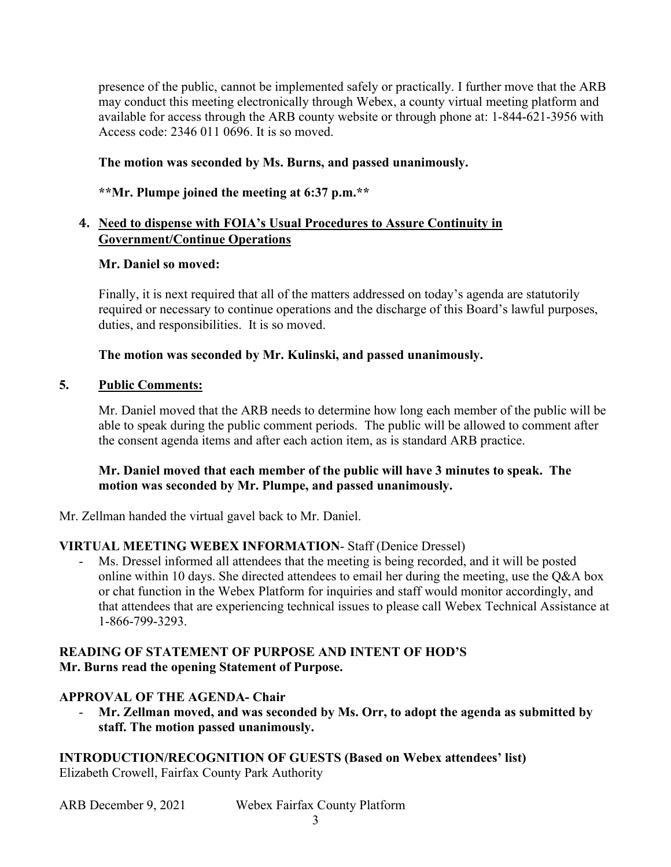presence of the public, cannot be implemented safely or practically. I further move that the ARB may conduct this meeting electronically through Webex, a county virtual meeting platform and available for access through the ARB county website or through phone at: 1-844-621-3956 with Access code: 2346 011 0696. It is so moved.

# **The motion was seconded by Ms. Burns, and passed unanimously. \*\*Mr. Plumpe joined the meeting at 6:37 p.m.\*\***

#### \*\*Mr. Plumpe joined the meeting at 6:37 p.m.\*\*

#### **4. Need to dispense with FOIA's Usual Procedures to Assure Continuity in Government/Continue Operations**

#### **Mr. Daniel so moved:**

Finally, it is next required that all of the matters addressed on today's agenda are statutorily required or necessary to continue operations and the discharge of this Board's lawful purposes, duties, and responsibilities. It is so moved.

#### **The motion was seconded by Mr. Kulinski, and passed unanimously.**

#### **5. Public Comments:**

Mr. Daniel moved that the ARB needs to determine how long each member of the public will be able to speak during the public comment periods. The public will be allowed to comment after the consent agenda items and after each action item, as is standard ARB practice.

#### **Mr. Daniel moved that each member of the public will have 3 minutes to speak. The motion was seconded by Mr. Plumpe, and passed unanimously.**

Mr. Zellman handed the virtual gavel back to Mr. Daniel.

#### **VIRTUAL MEETING WEBEX INFORMATION**- Staff (Denice Dressel)

 or chat function in the Webex Platform for inquiries and staff would monitor accordingly, and that attendees that are experiencing technical issues to please call Webex Technical Assistance at Ms. Dressel informed all attendees that the meeting is being recorded, and it will be posted online within 10 days. She directed attendees to email her during the meeting, use the Q&A box 1-866-799-3293.

## **Mr. Burns read the opening Statement of Purpose. APPROVAL OF THE AGENDA- Chair READING OF STATEMENT OF PURPOSE AND INTENT OF HOD'S**

#### **APPROVAL OF THE AGENDA- Chair**

staff. The motion passed unanimously. Mr. Zellman moved, and was seconded by Ms. Orr, to adopt the agenda as submitted by

 **staff. The motion passed unanimously. INTRODUCTION/RECOGNITION OF GUESTS (Based on Webex attendees' list)**  Elizabeth Crowell, Fairfax County Park Authority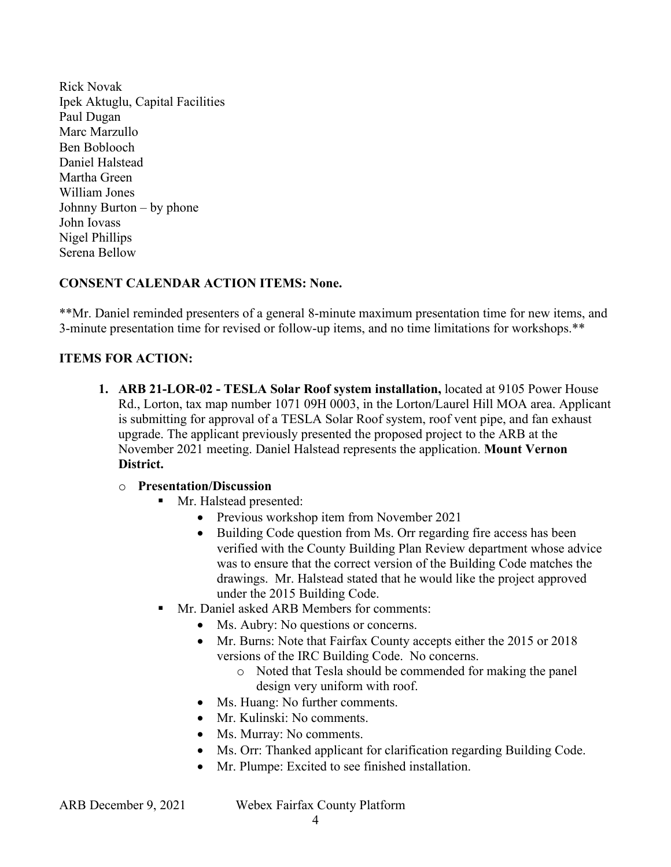Johnny Burton – by phone Rick Novak Ipek Aktuglu, Capital Facilities Paul Dugan Marc Marzullo Ben Boblooch Daniel Halstead Martha Green William Jones John Iovass Nigel Phillips Serena Bellow

#### **CONSENT CALENDAR ACTION ITEMS: None.**

 \*\*Mr. Daniel reminded presenters of a general 8-minute maximum presentation time for new items, and 3-minute presentation time for revised or follow-up items, and no time limitations for workshops.\*\*

#### **ITEMS FOR ACTION:**

 **1. ARB 21-LOR-02 - TESLA Solar Roof system installation,** located at 9105 Power House is submitting for approval of a TESLA Solar Roof system, roof vent pipe, and fan exhaust Rd., Lorton, tax map number 1071 09H 0003, in the Lorton/Laurel Hill MOA area. Applicant upgrade. The applicant previously presented the proposed project to the ARB at the November 2021 meeting. Daniel Halstead represents the application. **Mount Vernon District.** 

#### o **Presentation/Discussion**

- **Mr.** Halstead presented:
	- Previous workshop item from November 2021
	- was to ensure that the correct version of the Building Code matches the drawings. Mr. Halstead stated that he would like the project approved • Building Code question from Ms. Orr regarding fire access has been verified with the County Building Plan Review department whose advice under the 2015 Building Code.
- Mr. Daniel asked ARB Members for comments:
	- Ms. Aubry: No questions or concerns.
	- Mr. Burns: Note that Fairfax County accepts either the 2015 or 2018 versions of the IRC Building Code. No concerns.
		- o Noted that Tesla should be commended for making the panel design very uniform with roof.
	- Ms. Huang: No further comments.
	- Mr. Kulinski: No comments.
	- Ms. Murray: No comments.
	- Ms. Orr: Thanked applicant for clarification regarding Building Code.
	- Mr. Plumpe: Excited to see finished installation.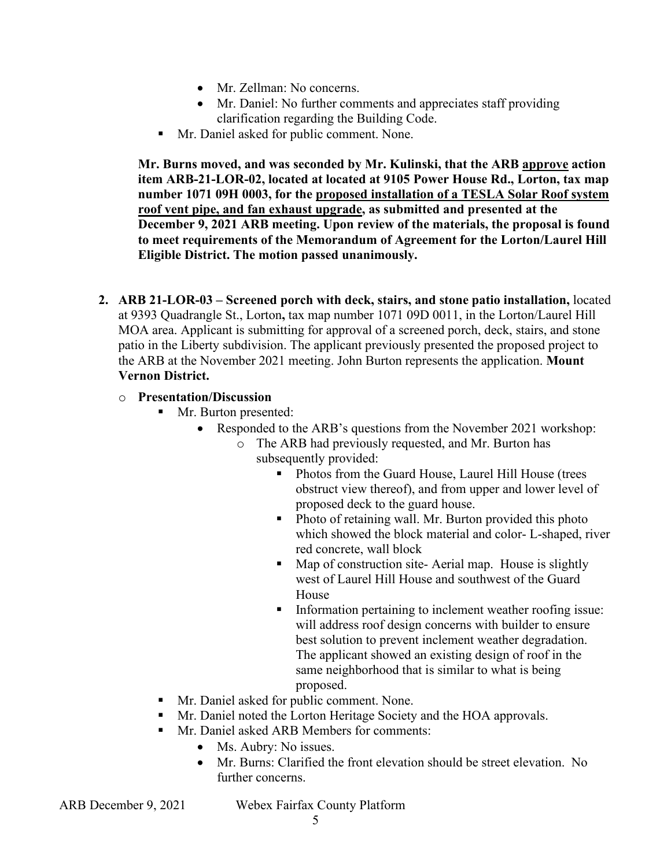- Mr. Zellman: No concerns.
- Mr. Daniel: No further comments and appreciates staff providing clarification regarding the Building Code.
- Mr. Daniel asked for public comment. None.

 **Mr. Burns moved, and was seconded by Mr. Kulinski, that the ARB approve action item ARB-21-LOR-02, located at located at 9105 Power House Rd., Lorton, tax map number 1071 09H 0003, for the proposed installation of a TESLA Solar Roof system roof vent pipe, and fan exhaust upgrade, as submitted and presented at the December 9, 2021 ARB meeting. Upon review of the materials, the proposal is found to meet requirements of the Memorandum of Agreement for the Lorton/Laurel Hill Eligible District. The motion passed unanimously.** 

 MOA area. Applicant is submitting for approval of a screened porch, deck, stairs, and stone **2. ARB 21-LOR-03 – Screened porch with deck, stairs, and stone patio installation,** located at 9393 Quadrangle St., Lorton**,** tax map number 1071 09D 0011, in the Lorton/Laurel Hill patio in the Liberty subdivision. The applicant previously presented the proposed project to the ARB at the November 2021 meeting. John Burton represents the application. **Mount Vernon District.** 

#### o **Presentation/Discussion**

- Mr. Burton presented:
	- Responded to the ARB's questions from the November 2021 workshop:
		- o The ARB had previously requested, and Mr. Burton has subsequently provided:
			- obstruct view thereof), and from upper and lower level of proposed deck to the guard house. • Photos from the Guard House, Laurel Hill House (trees
			- which showed the block material and color- L-shaped, river • Photo of retaining wall. Mr. Burton provided this photo red concrete, wall block
			- west of Laurel Hill House and southwest of the Guard • Map of construction site-Aerial map. House is slightly House
			- The applicant showed an existing design of roof in the Information pertaining to inclement weather roofing issue: will address roof design concerns with builder to ensure best solution to prevent inclement weather degradation. same neighborhood that is similar to what is being proposed.
- Mr. Daniel asked for public comment. None.
- **Mr. Daniel noted the Lorton Heritage Society and the HOA approvals.**
- **Mr. Daniel asked ARB Members for comments:** 
	- Ms. Aubry: No issues.
	- Mr. Burns: Clarified the front elevation should be street elevation. No further concerns.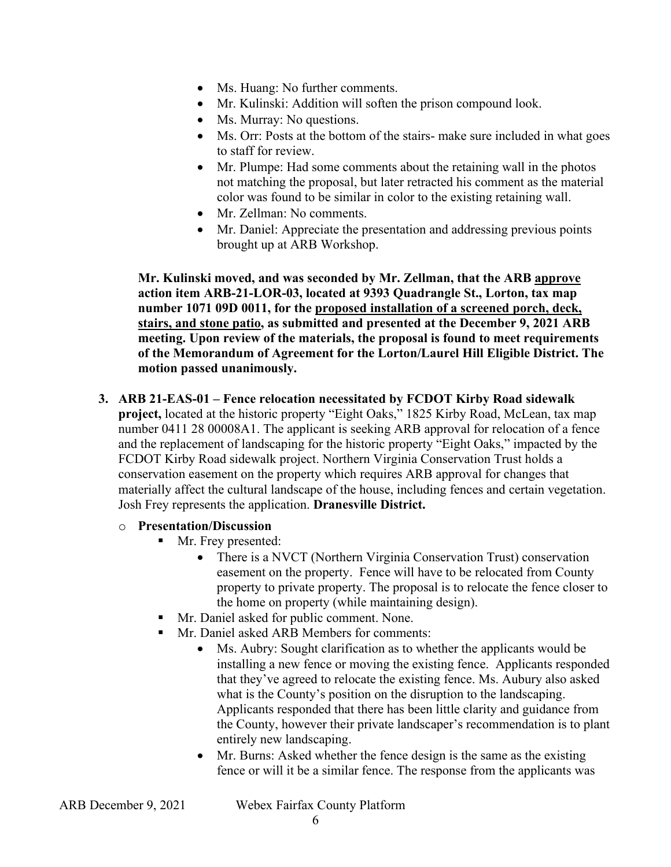- Ms. Huang: No further comments.
- Mr. Kulinski: Addition will soften the prison compound look.
- Ms. Murray: No questions.
- Ms. Orr: Posts at the bottom of the stairs- make sure included in what goes to staff for review.
- color was found to be similar in color to the existing retaining wall. • Mr. Plumpe: Had some comments about the retaining wall in the photos not matching the proposal, but later retracted his comment as the material
- Mr. Zellman: No comments.
- Mr. Daniel: Appreciate the presentation and addressing previous points brought up at ARB Workshop.

**Mr. Kulinski moved, and was seconded by Mr. Zellman, that the ARB approve action item ARB-21-LOR-03, located at 9393 Quadrangle St., Lorton, tax map number 1071 09D 0011, for the proposed installation of a screened porch, deck, stairs, and stone patio, as submitted and presented at the December 9, 2021 ARB meeting. Upon review of the materials, the proposal is found to meet requirements of the Memorandum of Agreement for the Lorton/Laurel Hill Eligible District. The motion passed unanimously.** 

#### **3. ARB 21-EAS-01 – Fence relocation necessitated by FCDOT Kirby Road sidewalk**

**project,** located at the historic property "Eight Oaks," 1825 Kirby Road, McLean, tax map number 0411 28 00008A1. The applicant is seeking ARB approval for relocation of a fence and the replacement of landscaping for the historic property "Eight Oaks," impacted by the FCDOT Kirby Road sidewalk project. Northern Virginia Conservation Trust holds a conservation easement on the property which requires ARB approval for changes that materially affect the cultural landscape of the house, including fences and certain vegetation. Josh Frey represents the application. **Dranesville District.** 

## o **Presentation/Discussion**

- Mr. Frey presented:
	- There is a NVCT (Northern Virginia Conservation Trust) conservation easement on the property. Fence will have to be relocated from County property to private property. The proposal is to relocate the fence closer to the home on property (while maintaining design).
- Mr. Daniel asked for public comment. None.
- **Mr. Daniel asked ARB Members for comments:** 
	- what is the County's position on the disruption to the landscaping. Ms. Aubry: Sought clarification as to whether the applicants would be installing a new fence or moving the existing fence. Applicants responded that they've agreed to relocate the existing fence. Ms. Aubury also asked Applicants responded that there has been little clarity and guidance from the County, however their private landscaper's recommendation is to plant entirely new landscaping.
	- • Mr. Burns: Asked whether the fence design is the same as the existing fence or will it be a similar fence. The response from the applicants was

| ARB December 9, 2021 |  |
|----------------------|--|
|----------------------|--|

Webex Fairfax County Platform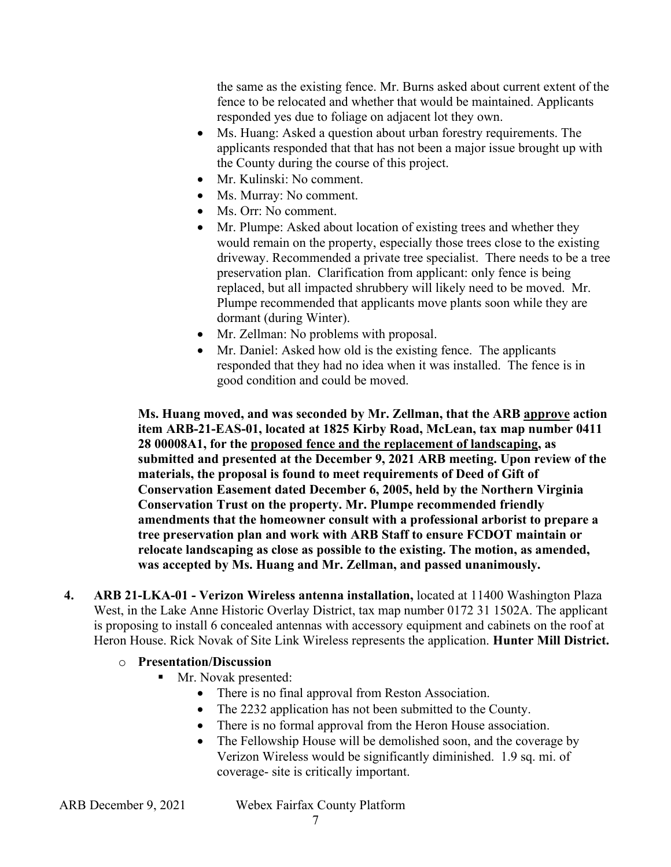the same as the existing fence. Mr. Burns asked about current extent of the fence to be relocated and whether that would be maintained. Applicants responded yes due to foliage on adjacent lot they own.

- Ms. Huang: Asked a question about urban forestry requirements. The applicants responded that that has not been a major issue brought up with the County during the course of this project.
- Mr. Kulinski: No comment.
- Ms. Murray: No comment.
- Ms. Orr: No comment.
- would remain on the property, especially those trees close to the existing preservation plan. Clarification from applicant: only fence is being Plumpe recommended that applicants move plants soon while they are • Mr. Plumpe: Asked about location of existing trees and whether they driveway. Recommended a private tree specialist. There needs to be a tree replaced, but all impacted shrubbery will likely need to be moved. Mr. dormant (during Winter).
- Mr. Zellman: No problems with proposal.
- responded that they had no idea when it was installed. The fence is in • Mr. Daniel: Asked how old is the existing fence. The applicants good condition and could be moved.

 **Ms. Huang moved, and was seconded by Mr. Zellman, that the ARB approve action submitted and presented at the December 9, 2021 ARB meeting. Upon review of the item ARB-21-EAS-01, located at 1825 Kirby Road, McLean, tax map number 0411 28 00008A1, for the proposed fence and the replacement of landscaping, as materials, the proposal is found to meet requirements of Deed of Gift of Conservation Easement dated December 6, 2005, held by the Northern Virginia Conservation Trust on the property. Mr. Plumpe recommended friendly amendments that the homeowner consult with a professional arborist to prepare a tree preservation plan and work with ARB Staff to ensure FCDOT maintain or relocate landscaping as close as possible to the existing. The motion, as amended, was accepted by Ms. Huang and Mr. Zellman, and passed unanimously.** 

 West, in the Lake Anne Historic Overlay District, tax map number 0172 31 1502A. The applicant is proposing to install 6 concealed antennas with accessory equipment and cabinets on the roof at Heron House. Rick Novak of Site Link Wireless represents the application. **Hunter Mill District. 4. ARB 21-LKA-01 - Verizon Wireless antenna installation,** located at 11400 Washington Plaza

## o **Presentation/Discussion**

- Mr. Novak presented:
	- There is no final approval from Reston Association.
	- The 2232 application has not been submitted to the County.
	- There is no formal approval from the Heron House association.
	- The Fellowship House will be demolished soon, and the coverage by Verizon Wireless would be significantly diminished. 1.9 sq. mi. of coverage- site is critically important.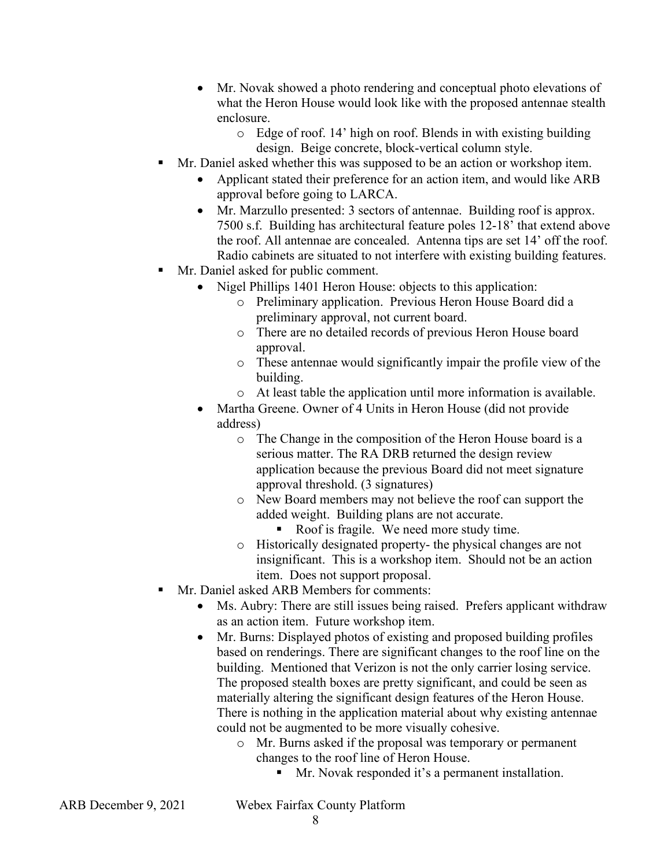- Mr. Novak showed a photo rendering and conceptual photo elevations of what the Heron House would look like with the proposed antennae stealth enclosure.
	- design. Beige concrete, block-vertical column style. o Edge of roof. 14' high on roof. Blends in with existing building
- Mr. Daniel asked whether this was supposed to be an action or workshop item.
	- • Applicant stated their preference for an action item, and would like ARB approval before going to LARCA.
	- the roof. All antennae are concealed. Antenna tips are set 14' off the roof. • Mr. Marzullo presented: 3 sectors of antennae. Building roof is approx. 7500 s.f. Building has architectural feature poles 12-18' that extend above Radio cabinets are situated to not interfere with existing building features.
- Mr. Daniel asked for public comment.
	- Nigel Phillips 1401 Heron House: objects to this application:
		- o Preliminary application. Previous Heron House Board did a preliminary approval, not current board.
		- o There are no detailed records of previous Heron House board approval.
		- o These antennae would significantly impair the profile view of the building.
		- o At least table the application until more information is available.
		- Martha Greene. Owner of 4 Units in Heron House (did not provide address)
			- serious matter. The RA DRB returned the design review approval threshold. (3 signatures) o The Change in the composition of the Heron House board is a application because the previous Board did not meet signature
			- added weight. Building plans are not accurate. o New Board members may not believe the roof can support the
				- Roof is fragile. We need more study time.
			- insignificant. This is a workshop item. Should not be an action o Historically designated property- the physical changes are not item. Does not support proposal.
- Mr. Daniel asked ARB Members for comments:
	- Ms. Aubry: There are still issues being raised. Prefers applicant withdraw as an action item. Future workshop item.
	- The proposed stealth boxes are pretty significant, and could be seen as • Mr. Burns: Displayed photos of existing and proposed building profiles based on renderings. There are significant changes to the roof line on the building. Mentioned that Verizon is not the only carrier losing service. materially altering the significant design features of the Heron House. There is nothing in the application material about why existing antennae could not be augmented to be more visually cohesive.
		- o Mr. Burns asked if the proposal was temporary or permanent changes to the roof line of Heron House.
			- Mr. Novak responded it's a permanent installation.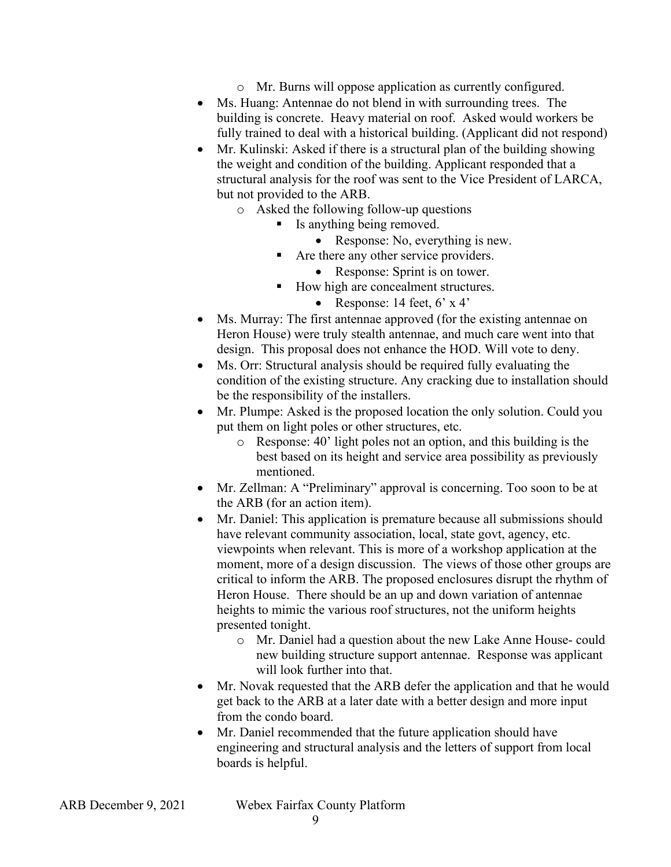- o Mr. Burns will oppose application as currently configured.
- Ms. Huang: Antennae do not blend in with surrounding trees. The building is concrete. Heavy material on roof. Asked would workers be fully trained to deal with a historical building. (Applicant did not respond)
- Mr. Kulinski: Asked if there is a structural plan of the building showing the weight and condition of the building. Applicant responded that a structural analysis for the roof was sent to the Vice President of LARCA, but not provided to the ARB.
	- o Asked the following follow-up questions
		- Is anything being removed.
			- Response: No, everything is new.
		- Are there any other service providers.
			- Response: Sprint is on tower.
			- How high are concealment structures.
				- Response: 14 feet,  $6' \times 4'$
- Heron House) were truly stealth antennae, and much care went into that • Ms. Murray: The first antennae approved (for the existing antennae on design. This proposal does not enhance the HOD. Will vote to deny.
- Ms. Orr: Structural analysis should be required fully evaluating the condition of the existing structure. Any cracking due to installation should be the responsibility of the installers.
- Mr. Plumpe: Asked is the proposed location the only solution. Could you put them on light poles or other structures, etc.
	- o Response: 40' light poles not an option, and this building is the best based on its height and service area possibility as previously mentioned.
- • Mr. Zellman: A "Preliminary" approval is concerning. Too soon to be at the ARB (for an action item).
- moment, more of a design discussion. The views of those other groups are • Mr. Daniel: This application is premature because all submissions should have relevant community association, local, state govt, agency, etc. viewpoints when relevant. This is more of a workshop application at the critical to inform the ARB. The proposed enclosures disrupt the rhythm of Heron House. There should be an up and down variation of antennae heights to mimic the various roof structures, not the uniform heights presented tonight.
	- o Mr. Daniel had a question about the new Lake Anne House- could new building structure support antennae. Response was applicant will look further into that.
- • Mr. Novak requested that the ARB defer the application and that he would from the condo board. get back to the ARB at a later date with a better design and more input
- engineering and structural analysis and the letters of support from local • Mr. Daniel recommended that the future application should have boards is helpful.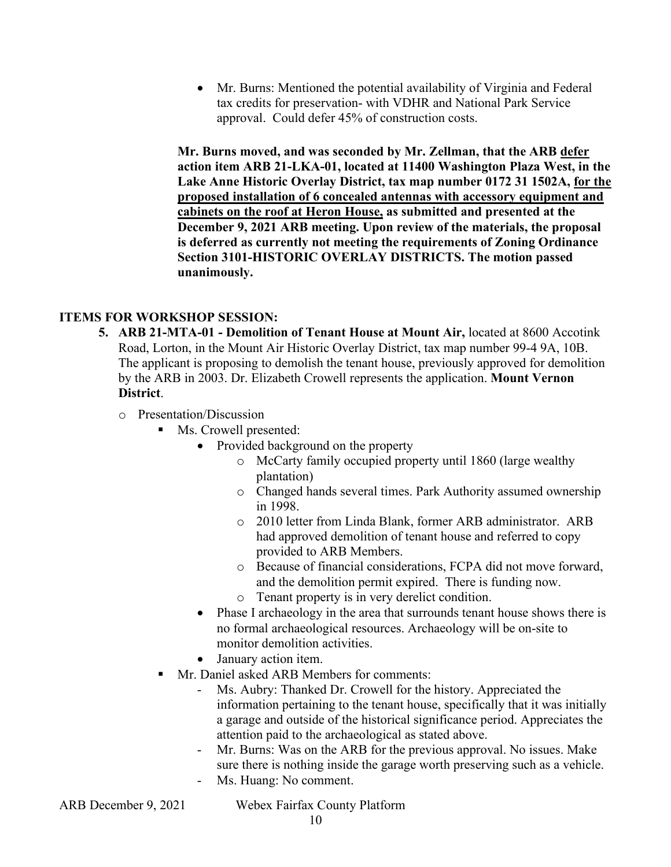• Mr. Burns: Mentioned the potential availability of Virginia and Federal tax credits for preservation- with VDHR and National Park Service approval. Could defer 45% of construction costs.

 **action item ARB 21-LKA-01, located at 11400 Washington Plaza West, in the is deferred as currently not meeting the requirements of Zoning Ordinance Mr. Burns moved, and was seconded by Mr. Zellman, that the ARB defer Lake Anne Historic Overlay District, tax map number 0172 31 1502A, for the proposed installation of 6 concealed antennas with accessory equipment and cabinets on the roof at Heron House, as submitted and presented at the December 9, 2021 ARB meeting. Upon review of the materials, the proposal Section 3101-HISTORIC OVERLAY DISTRICTS. The motion passed unanimously.** 

#### **ITEMS FOR WORKSHOP SESSION:**

- **5. ARB 21-MTA-01 Demolition of Tenant House at Mount Air,** located at 8600 Accotink Road, Lorton, in the Mount Air Historic Overlay District, tax map number 99-4 9A, 10B. The applicant is proposing to demolish the tenant house, previously approved for demolition by the ARB in 2003. Dr. Elizabeth Crowell represents the application. **Mount Vernon District**.
	- o Presentation/Discussion
		- Ms. Crowell presented:
			- Provided background on the property
				- o McCarty family occupied property until 1860 (large wealthy plantation)
				- o Changed hands several times. Park Authority assumed ownership in 1998.
				- o 2010 letter from Linda Blank, former ARB administrator. ARB had approved demolition of tenant house and referred to copy provided to ARB Members.
				- o Because of financial considerations, FCPA did not move forward, and the demolition permit expired. There is funding now.
				- o Tenant property is in very derelict condition.
			- • Phase I archaeology in the area that surrounds tenant house shows there is no formal archaeological resources. Archaeology will be on-site to monitor demolition activities.
			- January action item.
		- Mr. Daniel asked ARB Members for comments:
			- information pertaining to the tenant house, specifically that it was initially - Ms. Aubry: Thanked Dr. Crowell for the history. Appreciated the a garage and outside of the historical significance period. Appreciates the attention paid to the archaeological as stated above.
			- - Mr. Burns: Was on the ARB for the previous approval. No issues. Make sure there is nothing inside the garage worth preserving such as a vehicle.
			- Ms. Huang: No comment.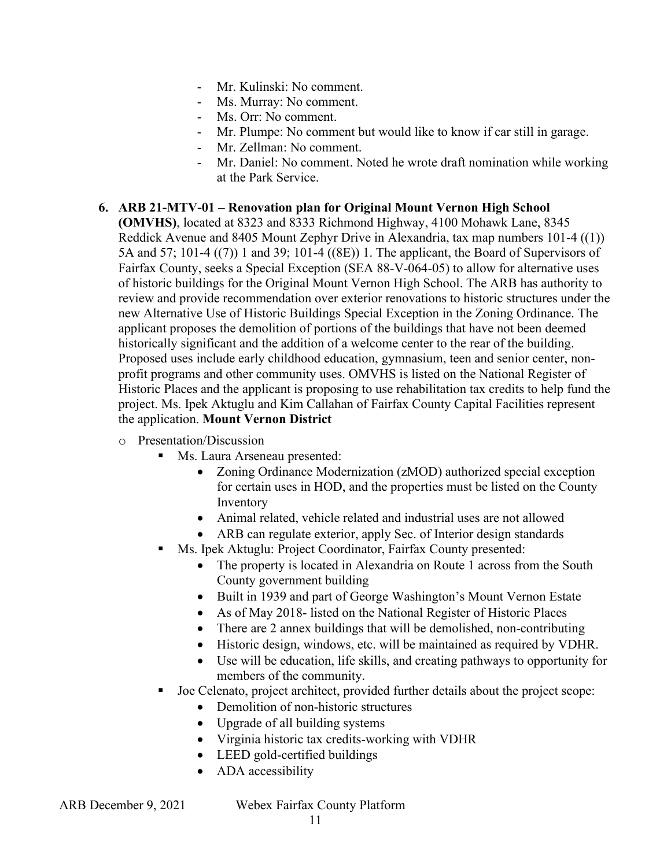- Mr. Kulinski: No comment.
- Ms. Murray: No comment.
- Ms. Orr: No comment.
- Mr. Plumpe: No comment but would like to know if car still in garage.
- Mr. Zellman: No comment.
- Mr. Daniel: No comment. Noted he wrote draft nomination while working at the Park Service.

#### **6. ARB 21-MTV-01 – Renovation plan for Original Mount Vernon High School**

 new Alternative Use of Historic Buildings Special Exception in the Zoning Ordinance. The **(OMVHS)**, located at 8323 and 8333 Richmond Highway, 4100 Mohawk Lane, 8345 Reddick Avenue and 8405 Mount Zephyr Drive in Alexandria, tax map numbers 101-4 ((1)) 5A and 57; 101-4 ((7)) 1 and 39; 101-4 ((8E)) 1. The applicant, the Board of Supervisors of Fairfax County, seeks a Special Exception (SEA 88-V-064-05) to allow for alternative uses of historic buildings for the Original Mount Vernon High School. The ARB has authority to review and provide recommendation over exterior renovations to historic structures under the applicant proposes the demolition of portions of the buildings that have not been deemed historically significant and the addition of a welcome center to the rear of the building. Proposed uses include early childhood education, gymnasium, teen and senior center, nonprofit programs and other community uses. OMVHS is listed on the National Register of Historic Places and the applicant is proposing to use rehabilitation tax credits to help fund the project. Ms. Ipek Aktuglu and Kim Callahan of Fairfax County Capital Facilities represent the application. **Mount Vernon District** 

- $\circ$  Presentation/Discussion
	- **Ms. Laura Arseneau presented:** 
		- Zoning Ordinance Modernization (zMOD) authorized special exception for certain uses in HOD, and the properties must be listed on the County Inventory
		- Animal related, vehicle related and industrial uses are not allowed
		- ARB can regulate exterior, apply Sec. of Interior design standards
	- Ms. Ipek Aktuglu: Project Coordinator, Fairfax County presented:
		- • The property is located in Alexandria on Route 1 across from the South County government building
		- Built in 1939 and part of George Washington's Mount Vernon Estate
		- As of May 2018- listed on the National Register of Historic Places
		- There are 2 annex buildings that will be demolished, non-contributing
		- Historic design, windows, etc. will be maintained as required by VDHR.
		- Use will be education, life skills, and creating pathways to opportunity for members of the community.
	- Joe Celenato, project architect, provided further details about the project scope:
		- Demolition of non-historic structures
		- Upgrade of all building systems
		- Virginia historic tax credits-working with VDHR
		- LEED gold-certified buildings
		- ADA accessibility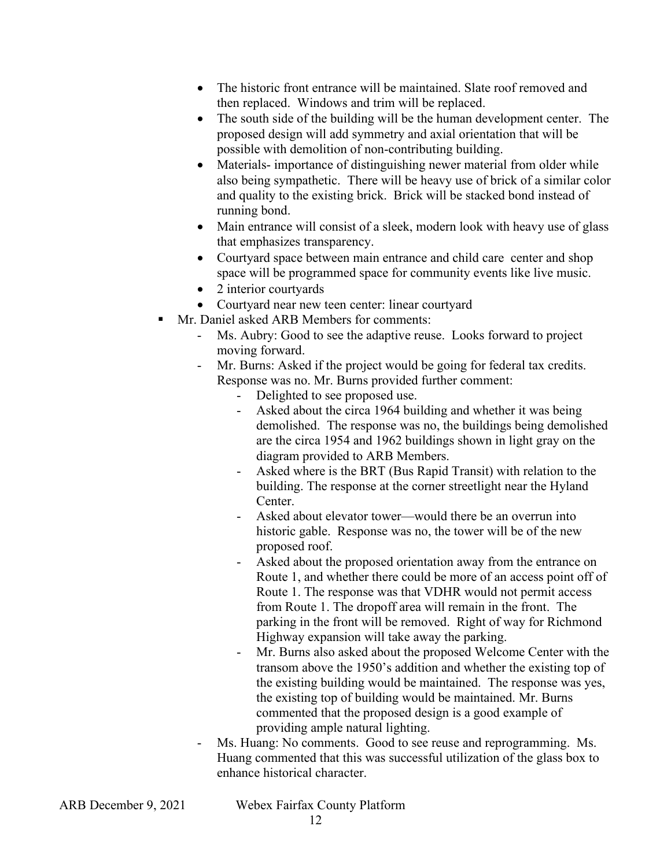- The historic front entrance will be maintained. Slate roof removed and then replaced. Windows and trim will be replaced.
- • The south side of the building will be the human development center. The proposed design will add symmetry and axial orientation that will be possible with demolition of non-contributing building.
- also being sympathetic. There will be heavy use of brick of a similar color and quality to the existing brick. Brick will be stacked bond instead of • Materials- importance of distinguishing newer material from older while running bond.
- Main entrance will consist of a sleek, modern look with heavy use of glass that emphasizes transparency.
- Courtyard space between main entrance and child care center and shop space will be programmed space for community events like live music.
- 2 interior courtyards
- Courtyard near new teen center: linear courtyard
- Mr. Daniel asked ARB Members for comments:
	- moving forward. Ms. Aubry: Good to see the adaptive reuse. Looks forward to project
	- moving forward.<br>- Mr. Burns: Asked if the project would be going for federal tax credits. Response was no. Mr. Burns provided further comment:
		- Delighted to see proposed use.
		- Asked about the circa 1964 building and whether it was being are the circa 1954 and 1962 buildings shown in light gray on the demolished. The response was no, the buildings being demolished diagram provided to ARB Members.
		- Asked where is the BRT (Bus Rapid Transit) with relation to the building. The response at the corner streetlight near the Hyland Center.
		- historic gable. Response was no, the tower will be of the new Asked about elevator tower—would there be an overrun into proposed roof.
		- Asked about the proposed orientation away from the entrance on Route 1, and whether there could be more of an access point off of Route 1. The response was that VDHR would not permit access from Route 1. The dropoff area will remain in the front. The parking in the front will be removed. Right of way for Richmond Highway expansion will take away the parking.
		- the existing top of building would be maintained. Mr. Burns Mr. Burns also asked about the proposed Welcome Center with the transom above the 1950's addition and whether the existing top of the existing building would be maintained. The response was yes, commented that the proposed design is a good example of providing ample natural lighting.
	- - Ms. Huang: No comments. Good to see reuse and reprogramming. Ms. Huang commented that this was successful utilization of the glass box to enhance historical character.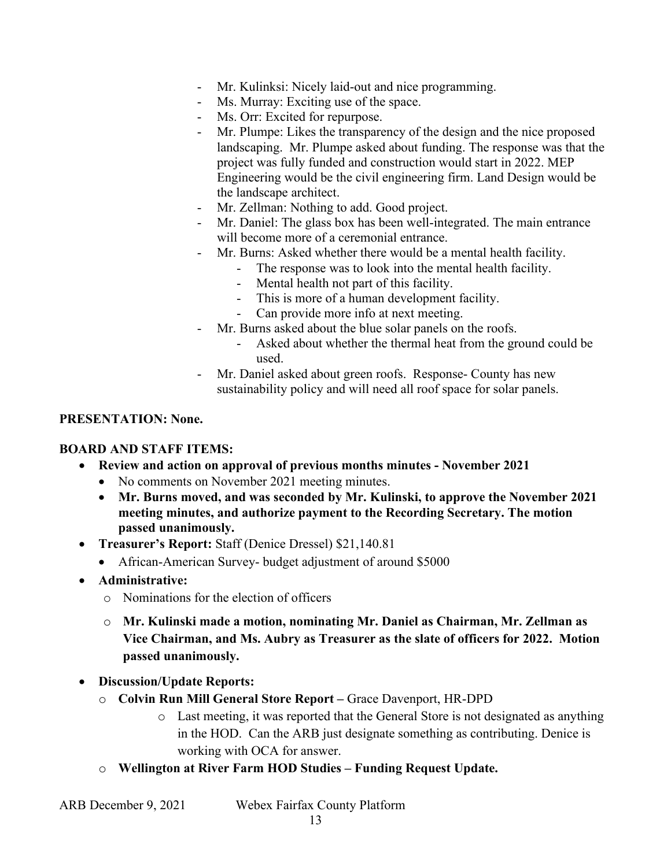- Mr. Kulinksi: Nicely laid-out and nice programming.
- Ms. Murray: Exciting use of the space.
- Ms. Orr: Excited for repurpose.
- Engineering would be the civil engineering firm. Land Design would be the landscape architect. - Ms. Orr: Excited for repurpose.<br>- Mr. Plumpe: Likes the transparency of the design and the nice proposed landscaping. Mr. Plumpe asked about funding. The response was that the project was fully funded and construction would start in 2022. MEP
- Mr. Zellman: Nothing to add. Good project.
- Mr. Daniel: The glass box has been well-integrated. The main entrance will become more of a ceremonial entrance.
- Mr. Burns: Asked whether there would be a mental health facility.<br>- The response was to look into the mental health facility.
	-
	- Mental health not part of this facility.
	- This is more of a human development facility.
	- Can provide more info at next meeting.
- Mr. Burns asked about the blue solar panels on the roofs.
	- Asked about whether the thermal heat from the ground could be used.
- Mr. Daniel asked about green roofs. Response- County has new sustainability policy and will need all roof space for solar panels.

#### **PRESENTATION: None.**

#### **BOARD AND STAFF ITEMS:**

- **Review and action on approval of previous months minutes - November 2021** 
	- No comments on November 2021 meeting minutes.
	- **Mr. Burns moved, and was seconded by Mr. Kulinski, to approve the November 2021 meeting minutes, and authorize payment to the Recording Secretary. The motion passed unanimously.**
- **Treasurer's Report:** Staff (Denice Dressel) \$21,140.81
	- African-American Survey- budget adjustment of around \$5000
- **Administrative:** 
	- o Nominations for the election of officers
	- o **Mr. Kulinski made a motion, nominating Mr. Daniel as Chairman, Mr. Zellman as Vice Chairman, and Ms. Aubry as Treasurer as the slate of officers for 2022. Motion passed unanimously.**
- **Discussion/Update Reports:** 
	- o **Colvin Run Mill General Store Report** Grace Davenport, HR-DPD
		- o Last meeting, it was reported that the General Store is not designated as anything in the HOD. Can the ARB just designate something as contributing. Denice is working with OCA for answer.
	- o **Wellington at River Farm HOD Studies Funding Request Update.**

| ARB December 9, 2021 |  |
|----------------------|--|
|----------------------|--|

Webex Fairfax County Platform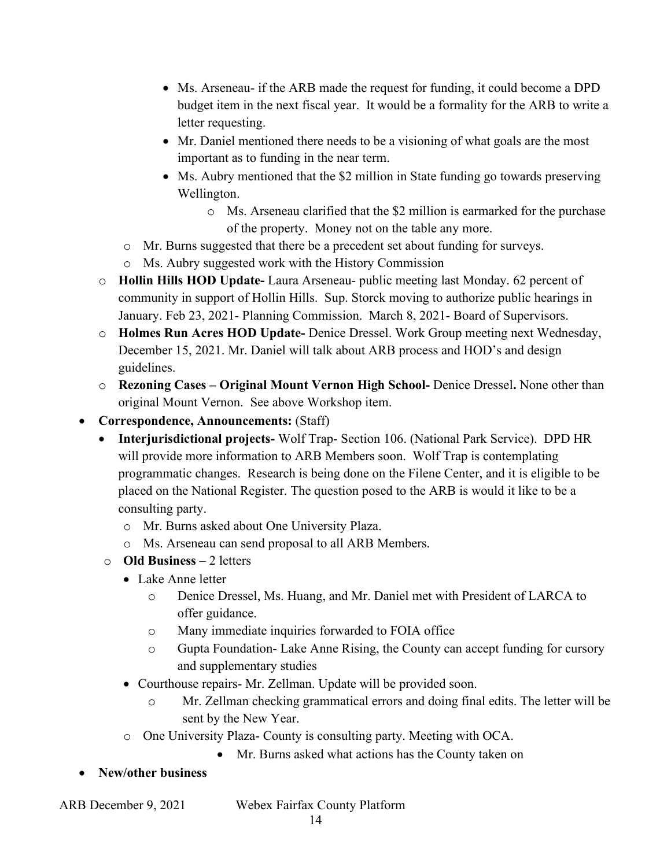- • Ms. Arseneau- if the ARB made the request for funding, it could become a DPD budget item in the next fiscal year. It would be a formality for the ARB to write a letter requesting.
- Mr. Daniel mentioned there needs to be a visioning of what goals are the most important as to funding in the near term.
- Ms. Aubry mentioned that the \$2 million in State funding go towards preserving Wellington.
	- o Ms. Arseneau clarified that the \$2 million is earmarked for the purchase of the property. Money not on the table any more.
- o Mr. Burns suggested that there be a precedent set about funding for surveys.
- o Ms. Aubry suggested work with the History Commission
- o **Hollin Hills HOD Update-** Laura Arseneau- public meeting last Monday. 62 percent of community in support of Hollin Hills. Sup. Storck moving to authorize public hearings in January. Feb 23, 2021- Planning Commission. March 8, 2021- Board of Supervisors.
- o **Holmes Run Acres HOD Update-** Denice Dressel. Work Group meeting next Wednesday, December 15, 2021. Mr. Daniel will talk about ARB process and HOD's and design guidelines.
- o **Rezoning Cases Original Mount Vernon High School-** Denice Dressel**.** None other than original Mount Vernon. See above Workshop item.
- **Correspondence, Announcements:** (Staff)
	- • **Interjurisdictional projects-** Wolf Trap- Section 106. (National Park Service). DPD HR placed on the National Register. The question posed to the ARB is would it like to be a will provide more information to ARB Members soon. Wolf Trap is contemplating programmatic changes. Research is being done on the Filene Center, and it is eligible to be consulting party.
		- o Mr. Burns asked about One University Plaza.
		- o Ms. Arseneau can send proposal to all ARB Members.
	- o **Old Business**  2 letters
		- Lake Anne letter
			- o Denice Dressel, Ms. Huang, and Mr. Daniel met with President of LARCA to offer guidance.
			- o Many immediate inquiries forwarded to FOIA office
			- o Gupta Foundation- Lake Anne Rising, the County can accept funding for cursory and supplementary studies
		- • Courthouse repairs- Mr. Zellman. Update will be provided soon.
			- o Mr. Zellman checking grammatical errors and doing final edits. The letter will be sent by the New Year.
		- o One University Plaza- County is consulting party. Meeting with OCA.
			- Mr. Burns asked what actions has the County taken on
- **New/other business**